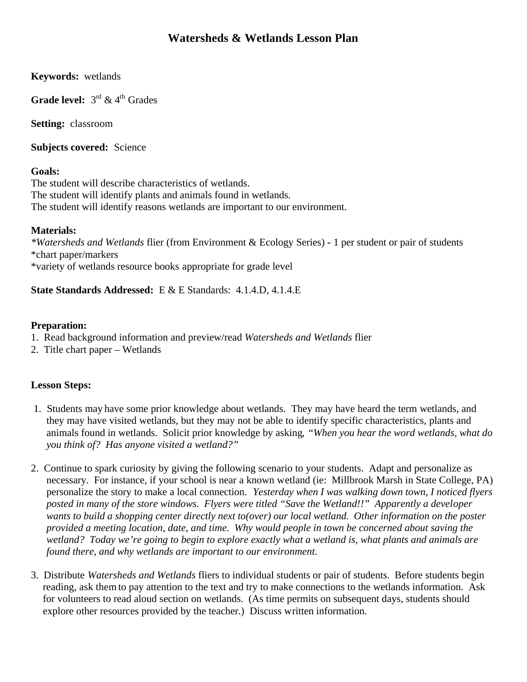# **Watersheds & Wetlands Lesson Plan**

**Keywords:** wetlands

**Grade level:**  $3^{rd}$  &  $4^{th}$  Grades

**Setting:** classroom

**Subjects covered:** Science

### **Goals:**

The student will describe characteristics of wetlands. The student will identify plants and animals found in wetlands. The student will identify reasons wetlands are important to our environment.

### **Materials:**

*\*Watersheds and Wetlands* flier (from Environment & Ecology Series) **-** 1 per student or pair of students \*chart paper/markers \*variety of wetlands resource books appropriate for grade level

**State Standards Addressed:** E & E Standards:4.1.4.D, 4.1.4.E

### **Preparation:**

- 1. Read background information and preview/read *Watersheds and Wetlands* flier
- 2. Title chart paper Wetlands

## **Lesson Steps:**

- 1. Students may have some prior knowledge about wetlands. They may have heard the term wetlands, and they may have visited wetlands, but they may not be able to identify specific characteristics, plants and animals found in wetlands. Solicit prior knowledge by asking, *"When you hear the word wetlands, what do you think of? Has anyone visited a wetland?"*
- 2. Continue to spark curiosity by giving the following scenario to your students. Adapt and personalize as necessary. For instance, if your school is near a known wetland (ie: Millbrook Marsh in State College, PA) personalize the story to make a local connection. *Yesterday when I was walking down town, I noticed flyers posted in many of the store windows. Flyers were titled "Save the Wetland!!" Apparently a developer wants to build a shopping center directly next to(over) our local wetland. Other information on the poster provided a meeting location, date, and time. Why would people in town be concerned about saving the wetland? Today we're going to begin to explore exactly what a wetland is, what plants and animals are found there, and why wetlands are important to our environment.*
- 3. Distribute *Watersheds and Wetlands* fliers to individual students or pair of students. Before students begin reading, ask them to pay attention to the text and try to make connections to the wetlands information. Ask for volunteers to read aloud section on wetlands. (As time permits on subsequent days, students should explore other resources provided by the teacher.) Discuss written information.